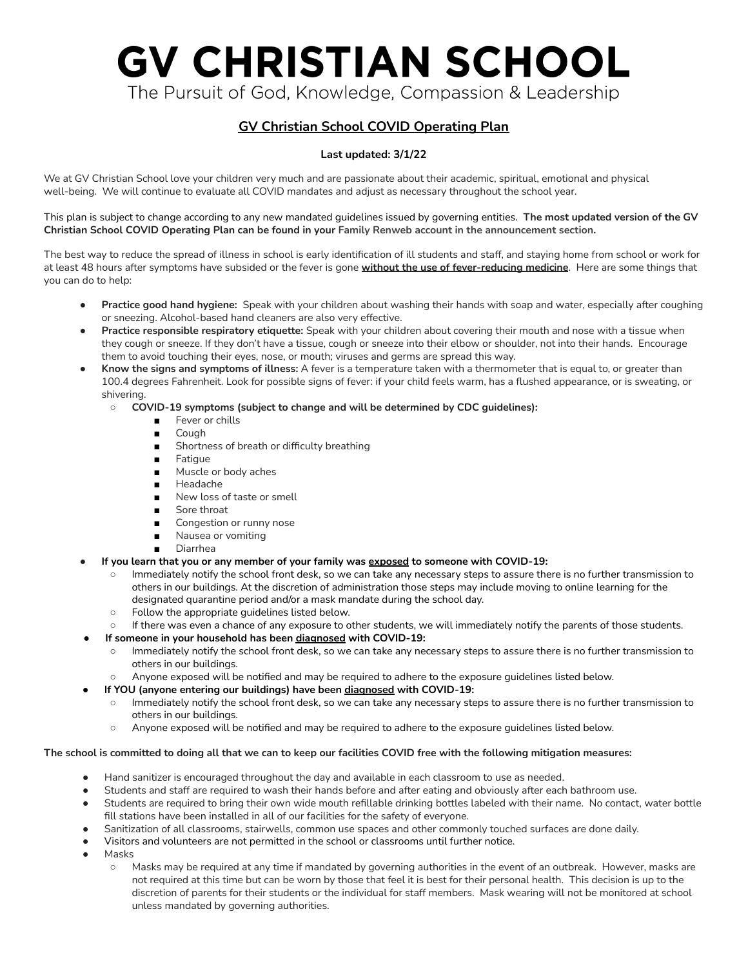# **GV CHRISTIAN SCHOOL**

The Pursuit of God, Knowledge, Compassion & Leadership

# **GV Christian School COVID Operating Plan**

### **Last updated: 3/1/22**

We at GV Christian School love your children very much and are passionate about their academic, spiritual, emotional and physical well-being. We will continue to evaluate all COVID mandates and adjust as necessary throughout the school year.

This plan is subject to change according to any new mandated guidelines issued by governing entities. **The most updated version of the GV** Christian School COVID Operating Plan can be found in your Family Renweb account in the announcement section.

The best way to reduce the spread of illness in school is early identification of ill students and staff, and staying home from school or work for at least 48 hours after symptoms have subsided or the fever is gone **without the use of fever-reducing medicine**. Here are some things that you can do to help:

- **Practice good hand hygiene:** Speak with your children about washing their hands with soap and water, especially after coughing or sneezing. Alcohol-based hand cleaners are also very effective.
- **Practice responsible respiratory etiquette:** Speak with your children about covering their mouth and nose with a tissue when they cough or sneeze. If they don't have a tissue, cough or sneeze into their elbow or shoulder, not into their hands. Encourage them to avoid touching their eyes, nose, or mouth; viruses and germs are spread this way.
- **Know the signs and symptoms of illness:** A fever is a temperature taken with a thermometer that is equal to, or greater than 100.4 degrees Fahrenheit. Look for possible signs of fever: if your child feels warm, has a flushed appearance, or is sweating, or shivering.
	- **COVID-19 symptoms (subject to change and will be determined by CDC guidelines):**
		- Fever or chills
		- Cough
		- Shortness of breath or difficulty breathing
		- Fatigue
		- Muscle or body aches
		- Headache
		- New loss of taste or smell
		- Sore throat
		- Congestion or runny nose
		- Nausea or vomiting
		- Diarrhea
- **If you learn that you or any member of your family was exposed to someone with COVID-19:**
	- Immediately notify the school front desk, so we can take any necessary steps to assure there is no further transmission to others in our buildings. At the discretion of administration those steps may include moving to online learning for the designated quarantine period and/or a mask mandate during the school day.
	- Follow the appropriate guidelines listed below.
	- If there was even a chance of any exposure to other students, we will immediately notify the parents of those students.
		- **● If someone in your household has been diagnosed with COVID-19:**
		- Immediately notify the school front desk, so we can take any necessary steps to assure there is no further transmission to others in our buildings.
		- Anyone exposed will be notified and may be required to adhere to the exposure guidelines listed below.
- **● If YOU (anyone entering our buildings) have been diagnosed with COVID-19:**
	- **○** Immediately notify the school front desk, so we can take any necessary steps to assure there is no further transmission to others in our buildings.
	- Anyone exposed will be notified and may be required to adhere to the exposure guidelines listed below.

#### The school is committed to doing all that we can to keep our facilities COVID free with the following mitigation measures:

- Hand sanitizer is encouraged throughout the day and available in each classroom to use as needed.
- Students and staff are required to wash their hands before and after eating and obviously after each bathroom use.
- Students are required to bring their own wide mouth refillable drinking bottles labeled with their name. No contact, water bottle fill stations have been installed in all of our facilities for the safety of everyone.
- Sanitization of all classrooms, stairwells, common use spaces and other commonly touched surfaces are done daily.
- Visitors and volunteers are not permitted in the school or classrooms until further notice.
- **Masks** 
	- Masks may be required at any time if mandated by governing authorities in the event of an outbreak. However, masks are not required at this time but can be worn by those that feel it is best for their personal health. This decision is up to the discretion of parents for their students or the individual for staff members. Mask wearing will not be monitored at school unless mandated by governing authorities.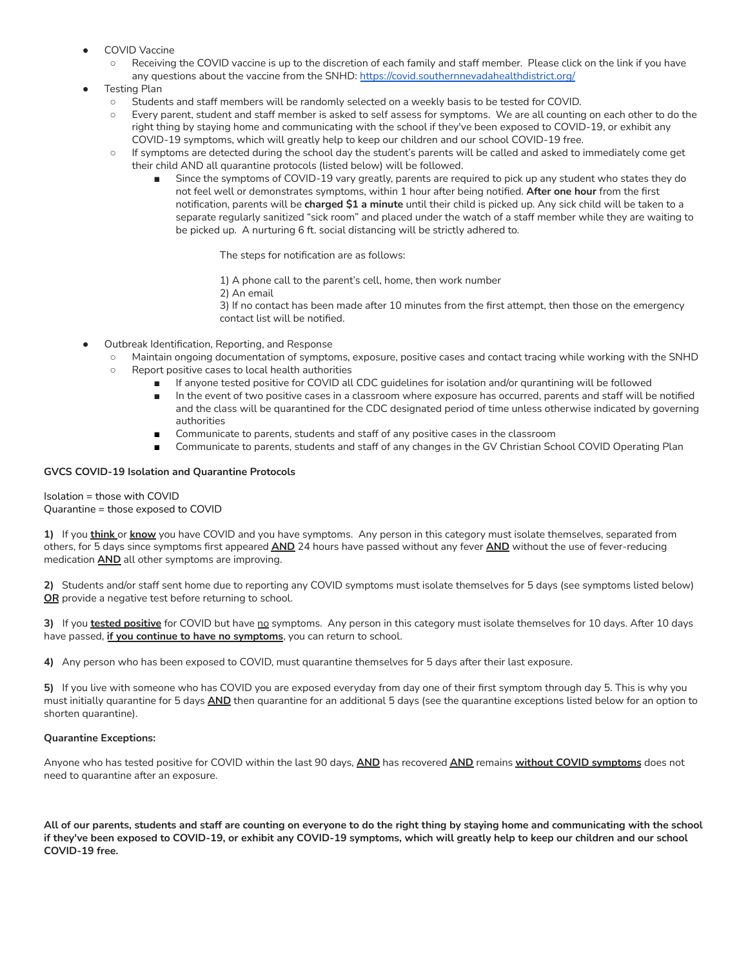- **COVID Vaccine** 
	- Receiving the COVID vaccine is up to the discretion of each family and staff member. Please click on the link if you have any questions about the vaccine from the SNHD: https://covid.southernnevadahealthdistrict.org/
- **Testing Plan** 
	- Students and staff members will be randomly selected on a weekly basis to be tested for COVID.
	- Every parent, student and staff member is asked to self assess for symptoms. We are all counting on each other to do the right thing by staying home and communicating with the school if they've been exposed to COVID-19, or exhibit any COVID-19 symptoms, which will greatly help to keep our children and our school COVID-19 free.
	- If symptoms are detected during the school day the student's parents will be called and asked to immediately come get their child AND all quarantine protocols (listed below) will be followed.
		- Since the symptoms of COVID-19 vary greatly, parents are required to pick up any student who states they do not feel well or demonstrates symptoms, within 1 hour after being notified. **After one hour** from the first notification, parents will be **charged \$1 a minute** until their child is picked up. Any sick child will be taken to a separate regularly sanitized "sick room" and placed under the watch of a staff member while they are waiting to be picked up. A nurturing 6 ft. social distancing will be strictly adhered to.

The steps for notification are as follows:

1) A phone call to the parent's cell, home, then work number

2) An email

3) If no contact has been made after 10 minutes from the first attempt, then those on the emergency contact list will be notified.

- Outbreak Identification, Reporting, and Response
	- Maintain ongoing documentation of symptoms, exposure, positive cases and contact tracing while working with the SNHD
	- Report positive cases to local health authorities
		- If anyone tested positive for COVID all CDC guidelines for isolation and/or qurantining will be followed
		- In the event of two positive cases in a classroom where exposure has occurred, parents and staff will be notified and the class will be quarantined for the CDC designated period of time unless otherwise indicated by governing authorities
		- Communicate to parents, students and staff of any positive cases in the classroom
		- Communicate to parents, students and staff of any changes in the GV Christian School COVID Operating Plan

#### **GVCS COVID-19 Isolation and Quarantine Protocols**

Isolation = those with COVID Quarantine = those exposed to COVID

**1)** If you **think** or **know** you have COVID and you have symptoms. Any person in this category must isolate themselves, separated from others, for 5 days since symptoms first appeared **AND** 24 hours have passed without any fever **AND** without the use of fever-reducing medication **AND** all other symptoms are improving.

**2)** Students and/or staff sent home due to reporting any COVID symptoms must isolate themselves for 5 days (see symptoms listed below) **OR** provide a negative test before returning to school.

**3)** If you **tested positive** for COVID but have no symptoms. Any person in this category must isolate themselves for 10 days. After 10 days have passed, **if you continue to have no symptoms**, you can return to school.

**4)** Any person who has been exposed to COVID, must quarantine themselves for 5 days after their last exposure.

**5)** If you live with someone who has COVID you are exposed everyday from day one of their first symptom through day 5. This is why you must initially quarantine for 5 days **AND** then quarantine for an additional 5 days (see the quarantine exceptions listed below for an option to shorten quarantine).

#### **Quarantine Exceptions:**

Anyone who has tested positive for COVID within the last 90 days, **AND** has recovered **AND** remains **without COVID symptoms** does not need to quarantine after an exposure.

All of our parents, students and staff are counting on everyone to do the right thing by staying home and communicating with the school if they've been exposed to COVID-19, or exhibit any COVID-19 symptoms, which will greatly help to keep our children and our school **COVID-19 free.**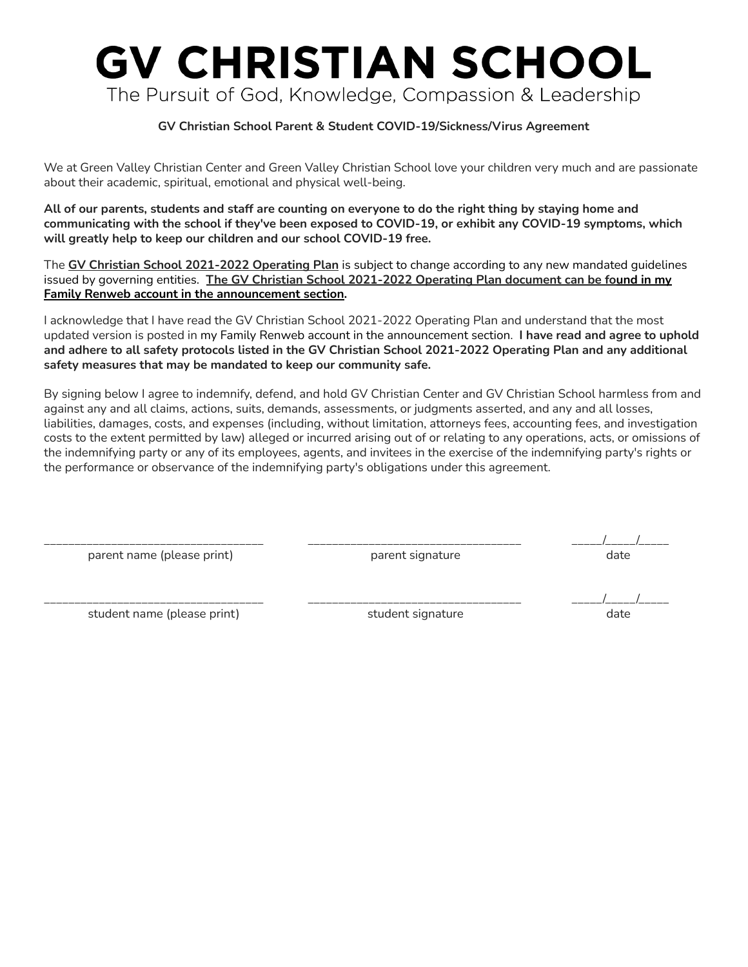# **GV CHRISTIAN SCHOOL** The Pursuit of God, Knowledge, Compassion & Leadership

## **GV Christian School Parent & Student COVID-19/Sickness/Virus Agreement**

We at Green Valley Christian Center and Green Valley Christian School love your children very much and are passionate about their academic, spiritual, emotional and physical well-being.

All of our parents, students and staff are counting on everyone to do the right thing by staying home and **communicating with the school if they've been exposed to COVID-19, or exhibit any COVID-19 symptoms, which will greatly help to keep our children and our school COVID-19 free.**

The **GV Christian School 2021-2022 Operating Plan** is subject to change according to any new mandated guidelines issued by governing entities. **The GV Christian School 2021-2022 Operating Plan document can be found in my Family Renweb account in the announcement section.**

I acknowledge that I have read the GV Christian School 2021-2022 Operating Plan and understand that the most updated version is posted in my Family Renweb account in the announcement section. **I have read and agree to uphold** and adhere to all safety protocols listed in the GV Christian School 2021-2022 Operating Plan and any additional **safety measures that may be mandated to keep our community safe.**

By signing below I agree to indemnify, defend, and hold GV Christian Center and GV Christian School harmless from and against any and all claims, actions, suits, demands, assessments, or judgments asserted, and any and all losses, liabilities, damages, costs, and expenses (including, without limitation, attorneys fees, accounting fees, and investigation costs to the extent permitted by law) alleged or incurred arising out of or relating to any operations, acts, or omissions of the indemnifying party or any of its employees, agents, and invitees in the exercise of the indemnifying party's rights or the performance or observance of the indemnifying party's obligations under this agreement.

parent name (please print) and parent signature date date date

\_\_\_\_\_\_\_\_\_\_\_\_\_\_\_\_\_\_\_\_\_\_\_\_\_\_\_\_\_\_\_\_\_\_\_\_ \_\_\_\_\_\_\_\_\_\_\_\_\_\_\_\_\_\_\_\_\_\_\_\_\_\_\_\_\_\_\_\_\_\_\_ \_\_\_\_\_/\_\_\_\_\_/\_\_\_\_\_

student name (please print) and student signature date date date

\_\_\_\_\_\_\_\_\_\_\_\_\_\_\_\_\_\_\_\_\_\_\_\_\_\_\_\_\_\_\_\_\_\_\_\_ \_\_\_\_\_\_\_\_\_\_\_\_\_\_\_\_\_\_\_\_\_\_\_\_\_\_\_\_\_\_\_\_\_\_\_ \_\_\_\_\_/\_\_\_\_\_/\_\_\_\_\_